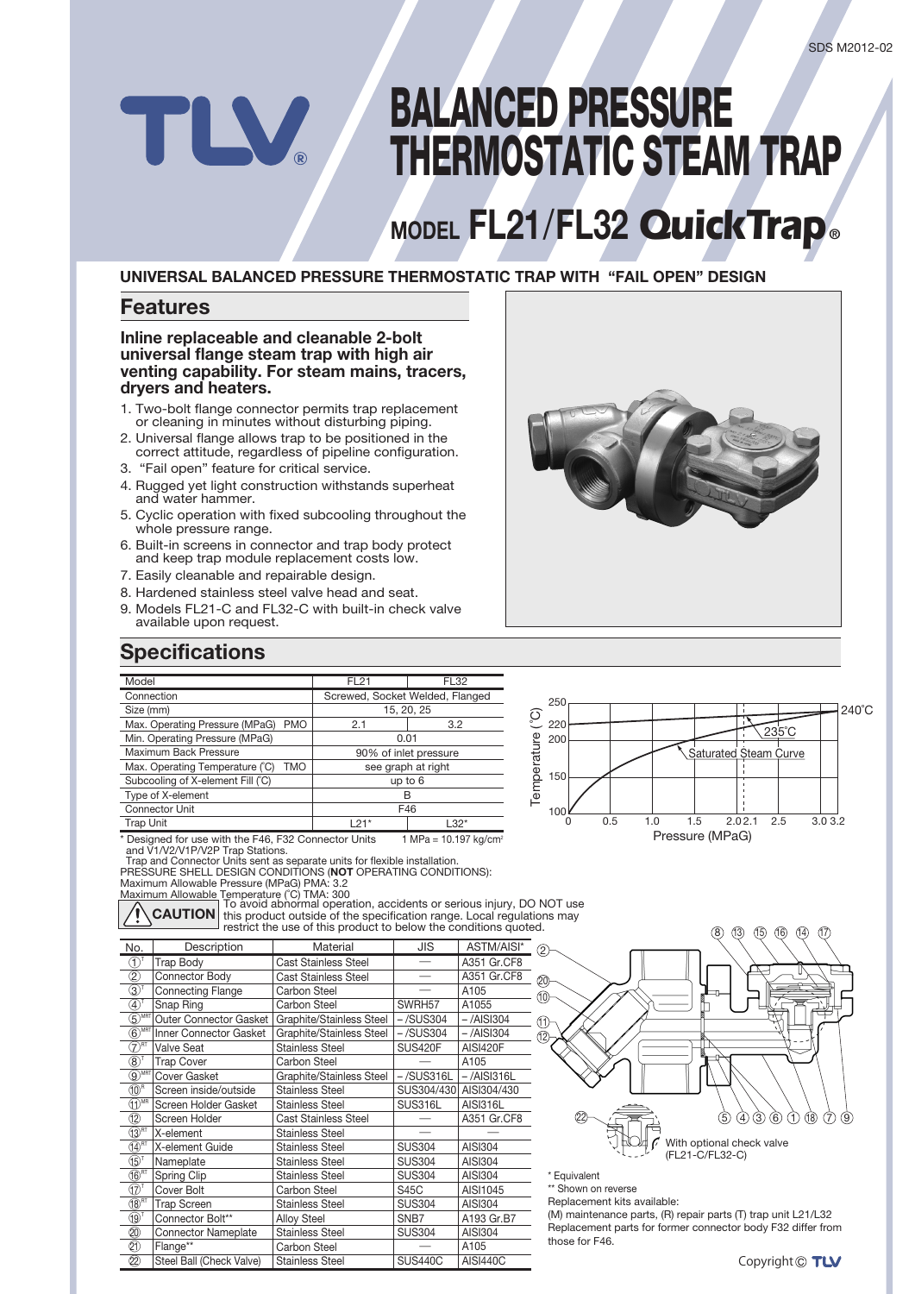# **BALANCED PRESSURE THERMOSTATIC STEAM TRAP**

# **MODEL FL21/FL32 QuickTrap**

### **UNIVERSAL BALANCED PRESSURE THERMOSTATIC TRAP WITH "FAIL OPEN" DESIGN**

### **Features**

#### **Inline replaceable and cleanable 2-bolt** universal flange steam trap with high air venting capability. For steam mains, tracers, dryers and heaters.

- 1. Two-bolt flange connector permits trap replacement or cleaning in minutes without disturbing piping.
- 2. Universal flange allows trap to be positioned in the correct attitude, regardless of pipeline configuration.
- 3. "Fail open" feature for critical service.
- 4. Rugged yet light construction withstands superheat and water hammer.
- 5. Cyclic operation with fixed subcooling throughout the whole pressure range.
- 6. Built-in screens in connector and trap body protect and keep trap module replacement costs low.
- 7. Easily cleanable and repairable design.
- 8. Hardened stainless steel valve head and seat.
- 9. Models FL21-C and FL32-C with built-in check valve available upon request.

### **Specifications**

| Model                                         |                                 | <b>FL21</b> | <b>FL32</b>        |  |
|-----------------------------------------------|---------------------------------|-------------|--------------------|--|
| Connection                                    | Screwed, Socket Welded, Flanged |             |                    |  |
| Size (mm)                                     |                                 | 15, 20, 25  |                    |  |
| Max. Operating Pressure (MPaG)<br><b>PMO</b>  |                                 | 2.1         | 3.2                |  |
| Min. Operating Pressure (MPaG)                |                                 | 0.01        |                    |  |
| Maximum Back Pressure                         | 90% of inlet pressure           |             |                    |  |
| Max. Operating Temperature (°C)<br><b>TMO</b> |                                 |             | see graph at right |  |
| Subcooling of X-element Fill (°C)             |                                 | up to $6$   |                    |  |
| Type of X-element                             |                                 | в           |                    |  |
| <b>Connector Unit</b>                         |                                 | F46         |                    |  |
| <b>Trap Unit</b>                              |                                 | $121*$      | $L32*$             |  |
|                                               |                                 |             |                    |  |

\* Designed for use with the F46, F32 Connector Units<br>and V1/V2/V1P/V2P Trap Stations.  $1 MPa = 10.197 kg/cm^3$ 

Trap and Connector Units sent as separate units for flexible installation.<br>PRESSURE SHELL DESIGN CONDITIONS (NOT OPERATING CONDITIONS): Maximum Allowable Pressure (MPaG) PMA: 3.2

Maximum Allowable Temperature (°C) TMA: 300

**CAUTION** To avoid abnormal operation, accidents or serious injury, DO NOT use<br>**CAUTION** this product outside of the specification range. Local regulations may the predict calculus of the oppositions that get a beginning.

| No.                                | Description                | Material                    | JIS              | ASTM/AISI*      |
|------------------------------------|----------------------------|-----------------------------|------------------|-----------------|
| (T)                                | <b>Trap Body</b>           | <b>Cast Stainless Steel</b> |                  | A351 Gr.CF8     |
| $^\mathrm{\odot}$                  | Connector Body             | <b>Cast Stainless Steel</b> |                  | A351 Gr.CF8     |
| $\mathfrak{D}^1$                   | <b>Connecting Flange</b>   | Carbon Steel                |                  | A105            |
| 4                                  | Snap Ring                  | Carbon Steel                | SWRH57           | A1055           |
| MRT<br>5)                          | Outer Connector Gasket     | Graphite/Stainless Steel    | $-$ /SUS304      | $-$ /AISI304    |
| $\circledS^{\text{MRT}}$           | Inner Connector Gasket     | Graphite/Stainless Steel    | $-$ /SUS304      | $-$ /AISI304    |
| \RT<br>7                           | <b>Valve Seat</b>          | <b>Stainless Steel</b>      | <b>SUS420F</b>   | <b>AISI420F</b> |
| $\circledS$                        | <b>Trap Cover</b>          | Carbon Steel                |                  | A105            |
| $\odot$ MRT                        | Cover Gasket               | Graphite/Stainless Steel    | $-$ /SUS316L     | $-$ /AISI316L   |
| $(10)^R$                           | Screen inside/outside      | <b>Stainless Steel</b>      | SUS304/430       | AISI304/430     |
| $\widehat{(\text{1})}^{\text{MR}}$ | Screen Holder Gasket       | Stainless Steel             | SUS316L          | <b>AISI316L</b> |
| 12                                 | Screen Holder              | <b>Cast Stainless Steel</b> |                  | A351 Gr.CF8     |
| $(13)$ <sup>RT</sup>               | X-element                  | <b>Stainless Steel</b>      |                  |                 |
| $(14)$ <sup>RT</sup>               | X-element Guide            | <b>Stainless Steel</b>      | <b>SUS304</b>    | AISI304         |
| $(15)^{T}$                         | Nameplate                  | <b>Stainless Steel</b>      | <b>SUS304</b>    | AISI304         |
| $\times$ <sup>RT</sup>             | Spring Clip                | Stainless Steel             | <b>SUS304</b>    | AISI304         |
| (17)                               | Cover Bolt                 | <b>Carbon Steel</b>         | S45C             | AISI1045        |
| $(18)$ <sup>RT</sup>               | <b>Trap Screen</b>         | Stainless Steel             | <b>SUS304</b>    | AISI304         |
| (19)                               | Connector Bolt**           | <b>Alloy Steel</b>          | SN <sub>B7</sub> | A193 Gr.B7      |
| 20)                                | <b>Connector Nameplate</b> | <b>Stainless Steel</b>      | <b>SUS304</b>    | AISI304         |
| Ø                                  | Flange**                   | Carbon Steel                |                  | A105            |
| 22                                 | Steel Ball (Check Valve)   | <b>Stainless Steel</b>      | <b>SUS440C</b>   | <b>AISI440C</b> |



Equivalent\*

150

 $100<sub>6</sub>$ 

\*\* Shown on reverse Replacement kits available:

(M) maintenance parts, (R) repair parts (T) trap unit L21/L32 Replacement parts for former connector body F32 differ from those for  $F46$ 



0 0.5 1.0 1.5 2.02.1 2.5 3.03.2

Saturated Steam Curve

Pressure (MPaG)